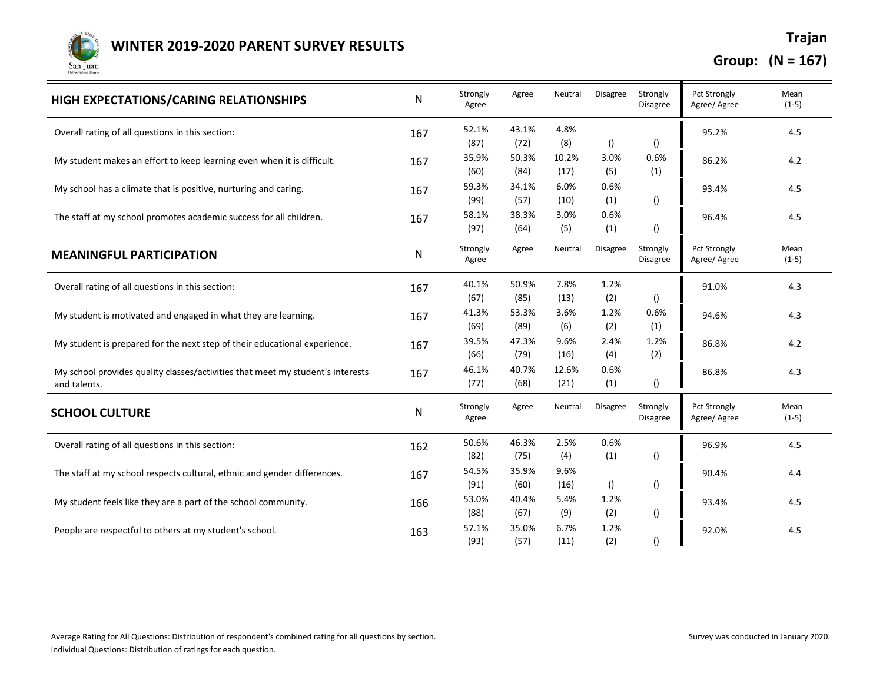

| HIGH EXPECTATIONS/CARING RELATIONSHIPS                                                         | ${\sf N}$ | Strongly<br>Agree | Agree         | Neutral       | <b>Disagree</b>  | Strongly<br><b>Disagree</b> | <b>Pct Strongly</b><br>Agree/Agree  | Mean<br>$(1-5)$ |
|------------------------------------------------------------------------------------------------|-----------|-------------------|---------------|---------------|------------------|-----------------------------|-------------------------------------|-----------------|
| Overall rating of all questions in this section:                                               | 167       | 52.1%<br>(87)     | 43.1%<br>(72) | 4.8%<br>(8)   | $\left( \right)$ | $\left( \right)$            | 95.2%                               | 4.5             |
| My student makes an effort to keep learning even when it is difficult.                         | 167       | 35.9%<br>(60)     | 50.3%<br>(84) | 10.2%<br>(17) | 3.0%<br>(5)      | 0.6%<br>(1)                 | 86.2%                               | 4.2             |
| My school has a climate that is positive, nurturing and caring.                                | 167       | 59.3%<br>(99)     | 34.1%<br>(57) | 6.0%<br>(10)  | 0.6%<br>(1)      | $\left( \right)$            | 93.4%                               | 4.5             |
| The staff at my school promotes academic success for all children.                             | 167       | 58.1%<br>(97)     | 38.3%<br>(64) | 3.0%<br>(5)   | 0.6%<br>(1)      | $\left( \right)$            | 96.4%                               | 4.5             |
| <b>MEANINGFUL PARTICIPATION</b>                                                                | N         | Strongly<br>Agree | Agree         | Neutral       | Disagree         | Strongly<br>Disagree        | <b>Pct Strongly</b><br>Agree/ Agree | Mean<br>$(1-5)$ |
| Overall rating of all questions in this section:                                               | 167       | 40.1%<br>(67)     | 50.9%<br>(85) | 7.8%<br>(13)  | 1.2%<br>(2)      | $\left( \right)$            | 91.0%                               | 4.3             |
| My student is motivated and engaged in what they are learning.                                 | 167       | 41.3%<br>(69)     | 53.3%<br>(89) | 3.6%<br>(6)   | 1.2%<br>(2)      | 0.6%<br>(1)                 | 94.6%                               | 4.3             |
| My student is prepared for the next step of their educational experience.                      | 167       | 39.5%<br>(66)     | 47.3%<br>(79) | 9.6%<br>(16)  | 2.4%<br>(4)      | 1.2%<br>(2)                 | 86.8%                               | 4.2             |
| My school provides quality classes/activities that meet my student's interests<br>and talents. | 167       | 46.1%<br>(77)     | 40.7%<br>(68) | 12.6%<br>(21) | 0.6%<br>(1)      | $\left( \right)$            | 86.8%                               | 4.3             |
| <b>SCHOOL CULTURE</b>                                                                          | ${\sf N}$ | Strongly<br>Agree | Agree         | Neutral       | <b>Disagree</b>  | Strongly<br><b>Disagree</b> | <b>Pct Strongly</b><br>Agree/ Agree | Mean<br>$(1-5)$ |
| Overall rating of all questions in this section:                                               | 162       | 50.6%<br>(82)     | 46.3%<br>(75) | 2.5%<br>(4)   | 0.6%<br>(1)      | $\left( \right)$            | 96.9%                               | 4.5             |
| The staff at my school respects cultural, ethnic and gender differences.                       | 167       | 54.5%<br>(91)     | 35.9%<br>(60) | 9.6%<br>(16)  | ()               | $\left( \right)$            | 90.4%                               | 4.4             |
| My student feels like they are a part of the school community.                                 | 166       | 53.0%<br>(88)     | 40.4%<br>(67) | 5.4%<br>(9)   | 1.2%<br>(2)      | $\left( \right)$            | 93.4%                               | 4.5             |
| People are respectful to others at my student's school.                                        | 163       | 57.1%<br>(93)     | 35.0%<br>(57) | 6.7%<br>(11)  | 1.2%<br>(2)      | 0                           | 92.0%                               | 4.5             |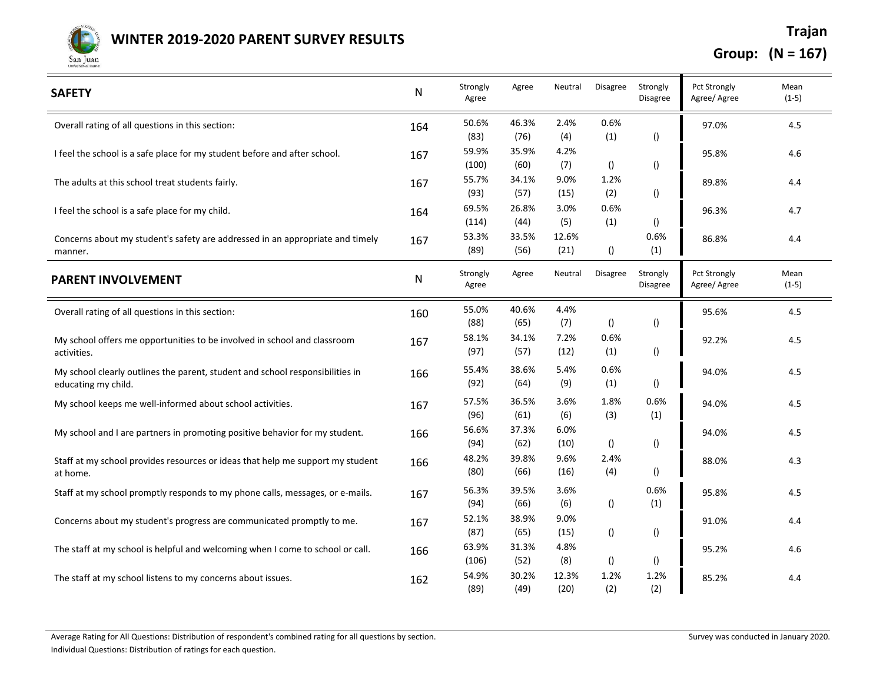

| <b>SAFETY</b>                                                                                        | ${\sf N}$ | Strongly<br>Agree      | Agree                 | Neutral            | Disagree                | Strongly<br>Disagree                 | <b>Pct Strongly</b><br>Agree/ Agree | Mean<br>$(1-5)$ |
|------------------------------------------------------------------------------------------------------|-----------|------------------------|-----------------------|--------------------|-------------------------|--------------------------------------|-------------------------------------|-----------------|
| Overall rating of all questions in this section:                                                     | 164       | 50.6%                  | 46.3%                 | 2.4%               | 0.6%                    |                                      | 97.0%                               | 4.5             |
| I feel the school is a safe place for my student before and after school.                            | 167       | (83)<br>59.9%<br>(100) | (76)<br>35.9%<br>(60) | (4)<br>4.2%<br>(7) | (1)<br>$\left( \right)$ | $\left( \right)$<br>$\left( \right)$ | 95.8%                               | 4.6             |
| The adults at this school treat students fairly.                                                     | 167       | 55.7%<br>(93)          | 34.1%<br>(57)         | 9.0%<br>(15)       | 1.2%<br>(2)             | $\left( \right)$                     | 89.8%                               | 4.4             |
| I feel the school is a safe place for my child.                                                      | 164       | 69.5%<br>(114)         | 26.8%<br>(44)         | 3.0%<br>(5)        | 0.6%<br>(1)             | ()                                   | 96.3%                               | 4.7             |
| Concerns about my student's safety are addressed in an appropriate and timely<br>manner.             | 167       | 53.3%<br>(89)          | 33.5%<br>(56)         | 12.6%<br>(21)      | $\left( \right)$        | 0.6%<br>(1)                          | 86.8%                               | 4.4             |
| <b>PARENT INVOLVEMENT</b>                                                                            | ${\sf N}$ | Strongly<br>Agree      | Agree                 | Neutral            | <b>Disagree</b>         | Strongly<br>Disagree                 | <b>Pct Strongly</b><br>Agree/ Agree | Mean<br>$(1-5)$ |
| Overall rating of all questions in this section:                                                     | 160       | 55.0%<br>(88)          | 40.6%<br>(65)         | 4.4%<br>(7)        | $\left( \right)$        | $\left( \right)$                     | 95.6%                               | 4.5             |
| My school offers me opportunities to be involved in school and classroom<br>activities.              | 167       | 58.1%<br>(97)          | 34.1%<br>(57)         | 7.2%<br>(12)       | 0.6%<br>(1)             | $\left( \right)$                     | 92.2%                               | 4.5             |
| My school clearly outlines the parent, student and school responsibilities in<br>educating my child. | 166       | 55.4%<br>(92)          | 38.6%<br>(64)         | 5.4%<br>(9)        | 0.6%<br>(1)             | $\left( \right)$                     | 94.0%                               | 4.5             |
| My school keeps me well-informed about school activities.                                            | 167       | 57.5%<br>(96)          | 36.5%<br>(61)         | 3.6%<br>(6)        | 1.8%<br>(3)             | 0.6%<br>(1)                          | 94.0%                               | 4.5             |
| My school and I are partners in promoting positive behavior for my student.                          | 166       | 56.6%<br>(94)          | 37.3%<br>(62)         | 6.0%<br>(10)       | $\left( \right)$        | $\left( \right)$                     | 94.0%                               | 4.5             |
| Staff at my school provides resources or ideas that help me support my student<br>at home.           | 166       | 48.2%<br>(80)          | 39.8%<br>(66)         | 9.6%<br>(16)       | 2.4%<br>(4)             | $\left( \right)$                     | 88.0%                               | 4.3             |
| Staff at my school promptly responds to my phone calls, messages, or e-mails.                        | 167       | 56.3%<br>(94)          | 39.5%<br>(66)         | 3.6%<br>(6)        | $\left( \right)$        | 0.6%<br>(1)                          | 95.8%                               | 4.5             |
| Concerns about my student's progress are communicated promptly to me.                                | 167       | 52.1%<br>(87)          | 38.9%<br>(65)         | 9.0%<br>(15)       | $\left( \right)$        | $\left( \right)$                     | 91.0%                               | 4.4             |
| The staff at my school is helpful and welcoming when I come to school or call.                       | 166       | 63.9%<br>(106)         | 31.3%<br>(52)         | 4.8%<br>(8)        | $\left( \right)$        | $\left( \right)$                     | 95.2%                               | 4.6             |
| The staff at my school listens to my concerns about issues.                                          | 162       | 54.9%<br>(89)          | 30.2%<br>(49)         | 12.3%<br>(20)      | 1.2%<br>(2)             | 1.2%<br>(2)                          | 85.2%                               | 4.4             |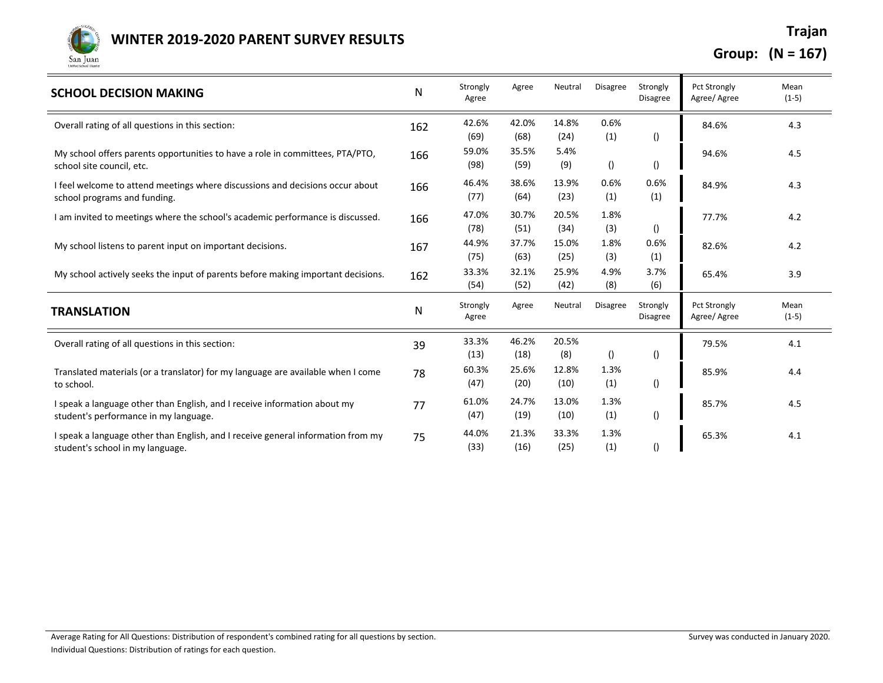

| <b>SCHOOL DECISION MAKING</b>                                                                                        | N   | Strongly<br>Agree     | Agree                 | Neutral             | <b>Disagree</b>         | Strongly<br><b>Disagree</b>          | <b>Pct Strongly</b><br>Agree/Agree | Mean<br>$(1-5)$ |
|----------------------------------------------------------------------------------------------------------------------|-----|-----------------------|-----------------------|---------------------|-------------------------|--------------------------------------|------------------------------------|-----------------|
| Overall rating of all questions in this section:                                                                     | 162 | 42.6%                 | 42.0%                 | 14.8%               | 0.6%                    |                                      | 84.6%                              | 4.3             |
| My school offers parents opportunities to have a role in committees, PTA/PTO,<br>school site council, etc.           | 166 | (69)<br>59.0%<br>(98) | (68)<br>35.5%<br>(59) | (24)<br>5.4%<br>(9) | (1)<br>$\left( \right)$ | $\left( \right)$<br>$\left( \right)$ | 94.6%                              | 4.5             |
| I feel welcome to attend meetings where discussions and decisions occur about<br>school programs and funding.        | 166 | 46.4%<br>(77)         | 38.6%<br>(64)         | 13.9%<br>(23)       | 0.6%<br>(1)             | 0.6%<br>(1)                          | 84.9%                              | 4.3             |
| I am invited to meetings where the school's academic performance is discussed.                                       | 166 | 47.0%<br>(78)         | 30.7%<br>(51)         | 20.5%<br>(34)       | 1.8%<br>(3)             | $\left( \right)$                     | 77.7%                              | 4.2             |
| My school listens to parent input on important decisions.                                                            | 167 | 44.9%<br>(75)         | 37.7%<br>(63)         | 15.0%<br>(25)       | 1.8%<br>(3)             | 0.6%<br>(1)                          | 82.6%                              | 4.2             |
| My school actively seeks the input of parents before making important decisions.                                     | 162 | 33.3%<br>(54)         | 32.1%<br>(52)         | 25.9%<br>(42)       | 4.9%<br>(8)             | 3.7%<br>(6)                          | 65.4%                              | 3.9             |
| <b>TRANSLATION</b>                                                                                                   | N   | Strongly<br>Agree     | Agree                 | Neutral             | <b>Disagree</b>         | Strongly<br><b>Disagree</b>          | <b>Pct Strongly</b><br>Agree/Agree | Mean<br>$(1-5)$ |
| Overall rating of all questions in this section:                                                                     | 39  | 33.3%<br>(13)         | 46.2%<br>(18)         | 20.5%<br>(8)        | $\left( \right)$        | $\left( \right)$                     | 79.5%                              | 4.1             |
| Translated materials (or a translator) for my language are available when I come<br>to school.                       | 78  | 60.3%<br>(47)         | 25.6%<br>(20)         | 12.8%<br>(10)       | 1.3%<br>(1)             | $\left( \right)$                     | 85.9%                              | 4.4             |
| I speak a language other than English, and I receive information about my<br>student's performance in my language.   | 77  | 61.0%<br>(47)         | 24.7%<br>(19)         | 13.0%<br>(10)       | 1.3%<br>(1)             | $\left( \right)$                     | 85.7%                              | 4.5             |
| I speak a language other than English, and I receive general information from my<br>student's school in my language. | 75  | 44.0%<br>(33)         | 21.3%<br>(16)         | 33.3%<br>(25)       | 1.3%<br>(1)             | $\left( \right)$                     | 65.3%                              | 4.1             |